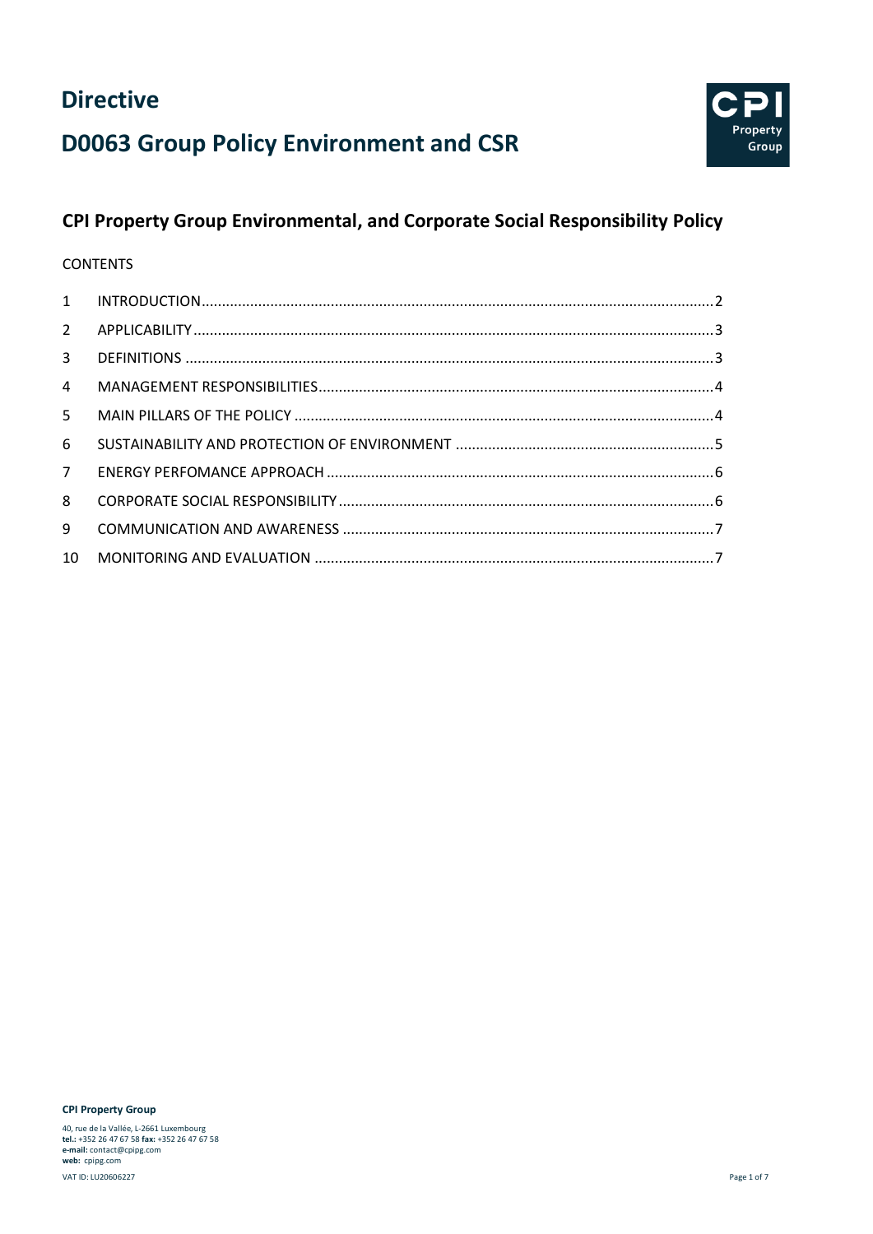



### **CPI Property Group Environmental, and Corporate Social Responsibility Policy**

#### **CONTENTS**

| $\mathcal{L}$   |  |
|-----------------|--|
| $\mathbf{3}$    |  |
| $\overline{4}$  |  |
| 5.              |  |
| 6               |  |
| 7 <sup>7</sup>  |  |
| 8               |  |
| 9               |  |
| 10 <sup>1</sup> |  |

**CPI Property Group**

40, rue de la Vallée, L-2661 Luxembourg **tel.:** +352 26 47 67 58 **fax:** +352 26 47 67 58 **e-mail:** contact@cpipg.com **web:** cpipg.com VAT ID: LU20606227 Page 1 of 7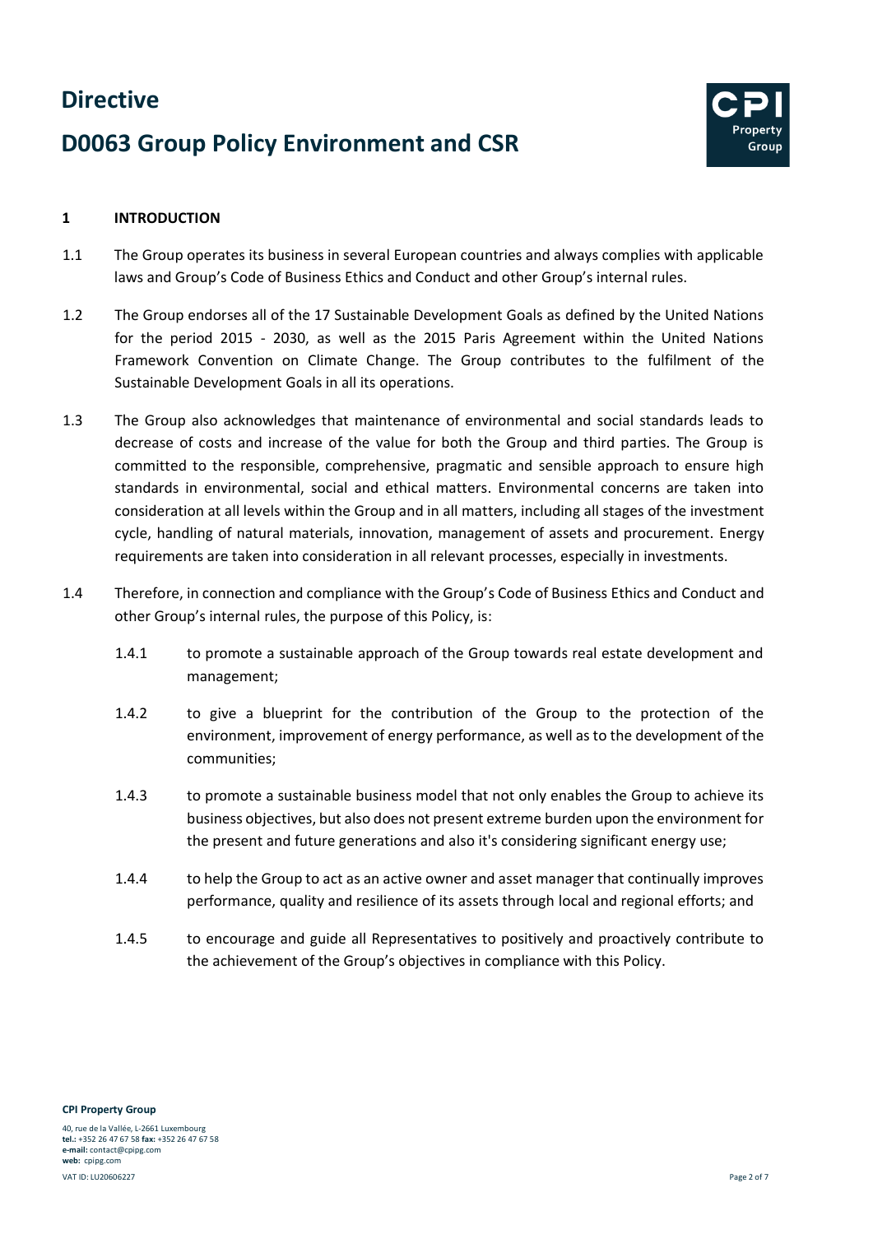# **D0063 Group Policy Environment and CSR**



#### <span id="page-1-0"></span>**1 INTRODUCTION**

- 1.1 The Group operates its business in several European countries and always complies with applicable laws and Group's Code of Business Ethics and Conduct and other Group's internal rules.
- 1.2 The Group endorses all of the 17 Sustainable Development Goals as defined by the United Nations for the period 2015 - 2030, as well as the 2015 Paris Agreement within the United Nations Framework Convention on Climate Change. The Group contributes to the fulfilment of the Sustainable Development Goals in all its operations.
- 1.3 The Group also acknowledges that maintenance of environmental and social standards leads to decrease of costs and increase of the value for both the Group and third parties. The Group is committed to the responsible, comprehensive, pragmatic and sensible approach to ensure high standards in environmental, social and ethical matters. Environmental concerns are taken into consideration at all levels within the Group and in all matters, including all stages of the investment cycle, handling of natural materials, innovation, management of assets and procurement. Energy requirements are taken into consideration in all relevant processes, especially in investments.
- 1.4 Therefore, in connection and compliance with the Group's Code of Business Ethics and Conduct and other Group's internal rules, the purpose of this Policy, is:
	- 1.4.1 to promote a sustainable approach of the Group towards real estate development and management;
	- 1.4.2 to give a blueprint for the contribution of the Group to the protection of the environment, improvement of energy performance, as well as to the development of the communities;
	- 1.4.3 to promote a sustainable business model that not only enables the Group to achieve its business objectives, but also does not present extreme burden upon the environment for the present and future generations and also it's considering significant energy use;
	- 1.4.4 to help the Group to act as an active owner and asset manager that continually improves performance, quality and resilience of its assets through local and regional efforts; and
	- 1.4.5 to encourage and guide all Representatives to positively and proactively contribute to the achievement of the Group's objectives in compliance with this Policy.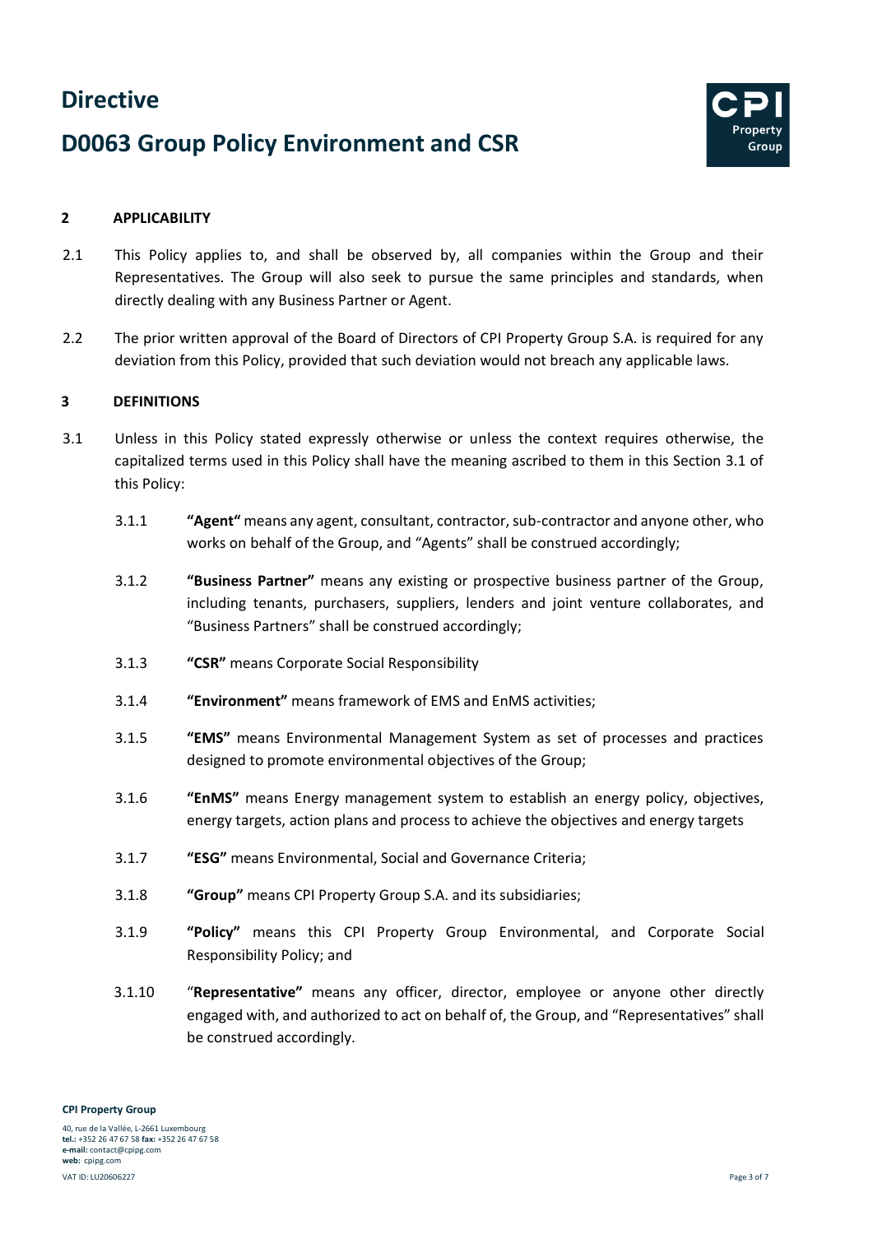## **D0063 Group Policy Environment and CSR**



#### <span id="page-2-0"></span>**2 APPLICABILITY**

- 2.1 This Policy applies to, and shall be observed by, all companies within the Group and their Representatives. The Group will also seek to pursue the same principles and standards, when directly dealing with any Business Partner or Agent.
- 2.2 The prior written approval of the Board of Directors of CPI Property Group S.A. is required for any deviation from this Policy, provided that such deviation would not breach any applicable laws.

#### <span id="page-2-1"></span>**3 DEFINITIONS**

- 3.1 Unless in this Policy stated expressly otherwise or unless the context requires otherwise, the capitalized terms used in this Policy shall have the meaning ascribed to them in this Section 3.1 of this Policy:
	- 3.1.1 **"Agent"** means any agent, consultant, contractor, sub-contractor and anyone other, who works on behalf of the Group, and "Agents" shall be construed accordingly;
	- 3.1.2 **"Business Partner"** means any existing or prospective business partner of the Group, including tenants, purchasers, suppliers, lenders and joint venture collaborates, and "Business Partners" shall be construed accordingly;
	- 3.1.3 **"CSR"** means Corporate Social Responsibility
	- 3.1.4 **"Environment"** means framework of EMS and EnMS activities;
	- 3.1.5 **"EMS"** means Environmental Management System as set of processes and practices designed to promote environmental objectives of the Group;
	- 3.1.6 **"EnMS"** means Energy management system to establish an energy policy, objectives, energy targets, action plans and process to achieve the objectives and energy targets
	- 3.1.7 **"ESG"** means Environmental, Social and Governance Criteria;
	- 3.1.8 **"Group"** means CPI Property Group S.A. and its subsidiaries;
	- 3.1.9 **"Policy"** means this CPI Property Group Environmental, and Corporate Social Responsibility Policy; and
	- 3.1.10 "**Representative"** means any officer, director, employee or anyone other directly engaged with, and authorized to act on behalf of, the Group, and "Representatives" shall be construed accordingly.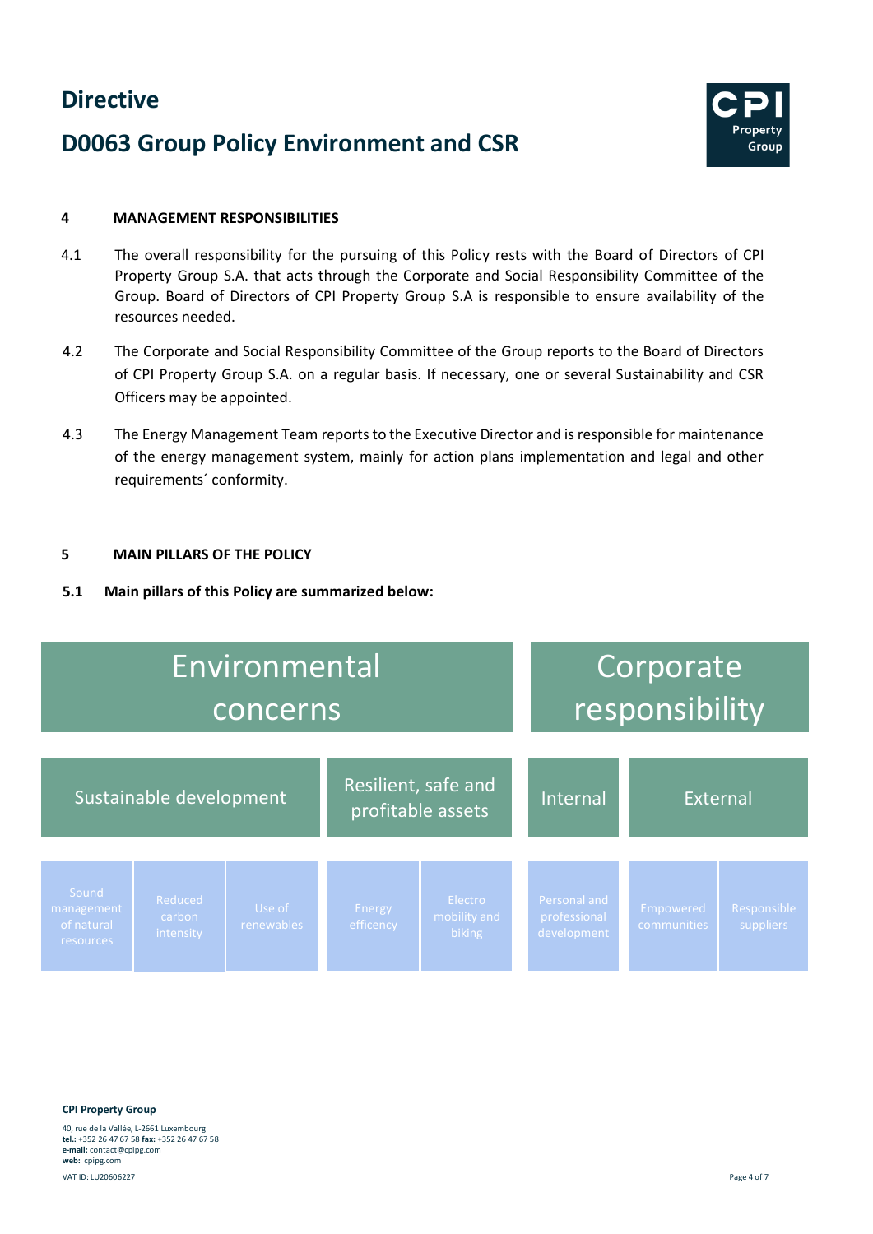## **D0063 Group Policy Environment and CSR**



#### <span id="page-3-0"></span>**4 MANAGEMENT RESPONSIBILITIES**

- 4.1 The overall responsibility for the pursuing of this Policy rests with the Board of Directors of CPI Property Group S.A. that acts through the Corporate and Social Responsibility Committee of the Group. Board of Directors of CPI Property Group S.A is responsible to ensure availability of the resources needed.
- 4.2 The Corporate and Social Responsibility Committee of the Group reports to the Board of Directors of CPI Property Group S.A. on a regular basis. If necessary, one or several Sustainability and CSR Officers may be appointed.
- 4.3 The Energy Management Team reports to the Executive Director and is responsible for maintenance of the energy management system, mainly for action plans implementation and legal and other requirements´ conformity.

#### <span id="page-3-1"></span>**5 MAIN PILLARS OF THE POLICY**

**5.1 Main pillars of this Policy are summarized below:** 



**CPI Property Group**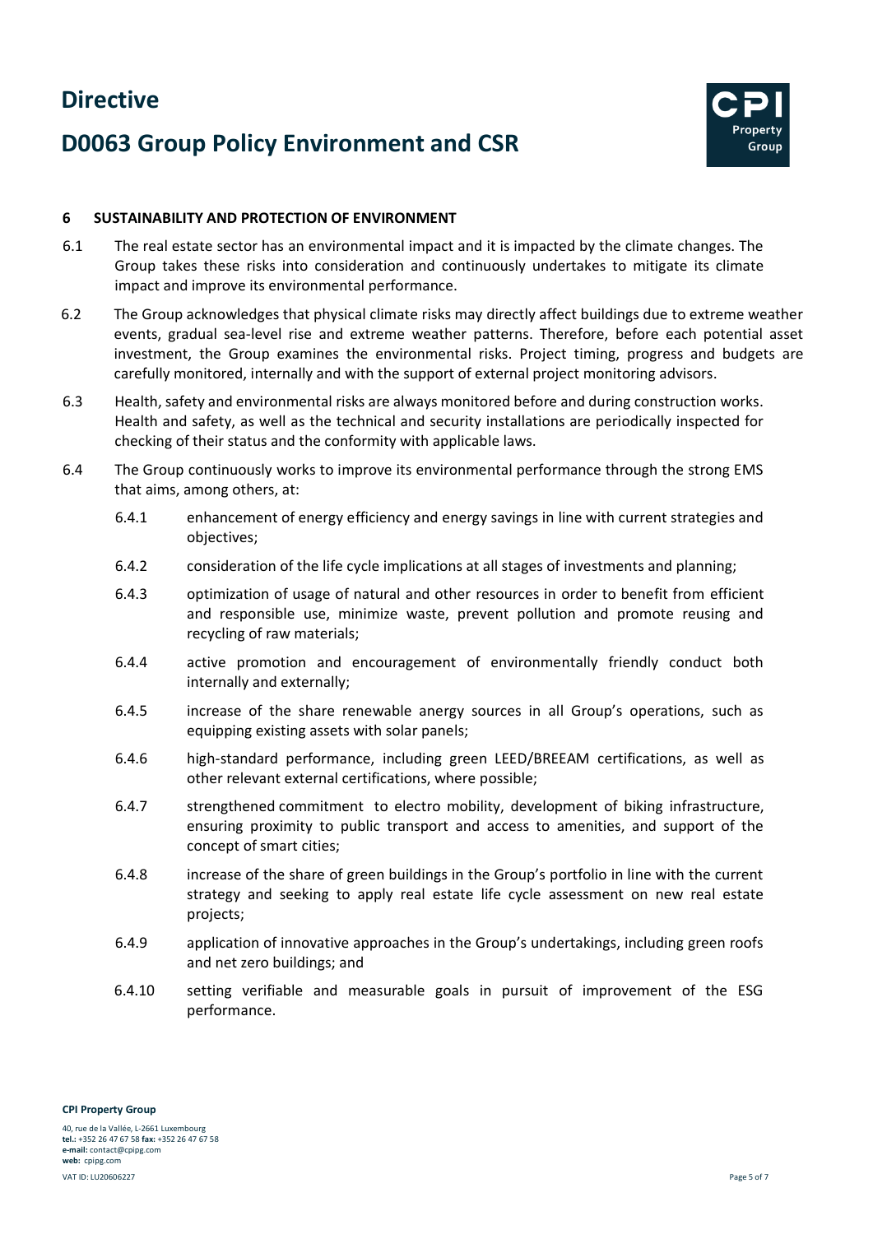## **D0063 Group Policy Environment and CSR**



#### <span id="page-4-0"></span>**6 SUSTAINABILITY AND PROTECTION OF ENVIRONMENT**

- 6.1 The real estate sector has an environmental impact and it is impacted by the climate changes. The Group takes these risks into consideration and continuously undertakes to mitigate its climate impact and improve its environmental performance.
- 6.2 The Group acknowledges that physical climate risks may directly affect buildings due to extreme weather events, gradual sea-level rise and extreme weather patterns. Therefore, before each potential asset investment, the Group examines the environmental risks. Project timing, progress and budgets are carefully monitored, internally and with the support of external project monitoring advisors.
- 6.3 Health, safety and environmental risks are always monitored before and during construction works. Health and safety, as well as the technical and security installations are periodically inspected for checking of their status and the conformity with applicable laws.
- <span id="page-4-1"></span>6.4 The Group continuously works to improve its environmental performance through the strong EMS that aims, among others, at:
	- 6.4.1 enhancement of energy efficiency and energy savings in line with current strategies and objectives;
	- 6.4.2 consideration of the life cycle implications at all stages of investments and planning;
	- 6.4.3 optimization of usage of natural and other resources in order to benefit from efficient and responsible use, minimize waste, prevent pollution and promote reusing and recycling of raw materials;
	- 6.4.4 active promotion and encouragement of environmentally friendly conduct both internally and externally;
	- 6.4.5 increase of the share renewable anergy sources in all Group's operations, such as equipping existing assets with solar panels;
	- 6.4.6 high-standard performance, including green LEED/BREEAM certifications, as well as other relevant external certifications, where possible;
	- 6.4.7 strengthened commitment to electro mobility, development of biking infrastructure, ensuring proximity to public transport and access to amenities, and support of the concept of smart cities;
	- 6.4.8 increase of the share of green buildings in the Group's portfolio in line with the current strategy and seeking to apply real estate life cycle assessment on new real estate projects;
	- 6.4.9 application of innovative approaches in the Group's undertakings, including green roofs and net zero buildings; and
	- 6.4.10 setting verifiable and measurable goals in pursuit of improvement of the ESG performance.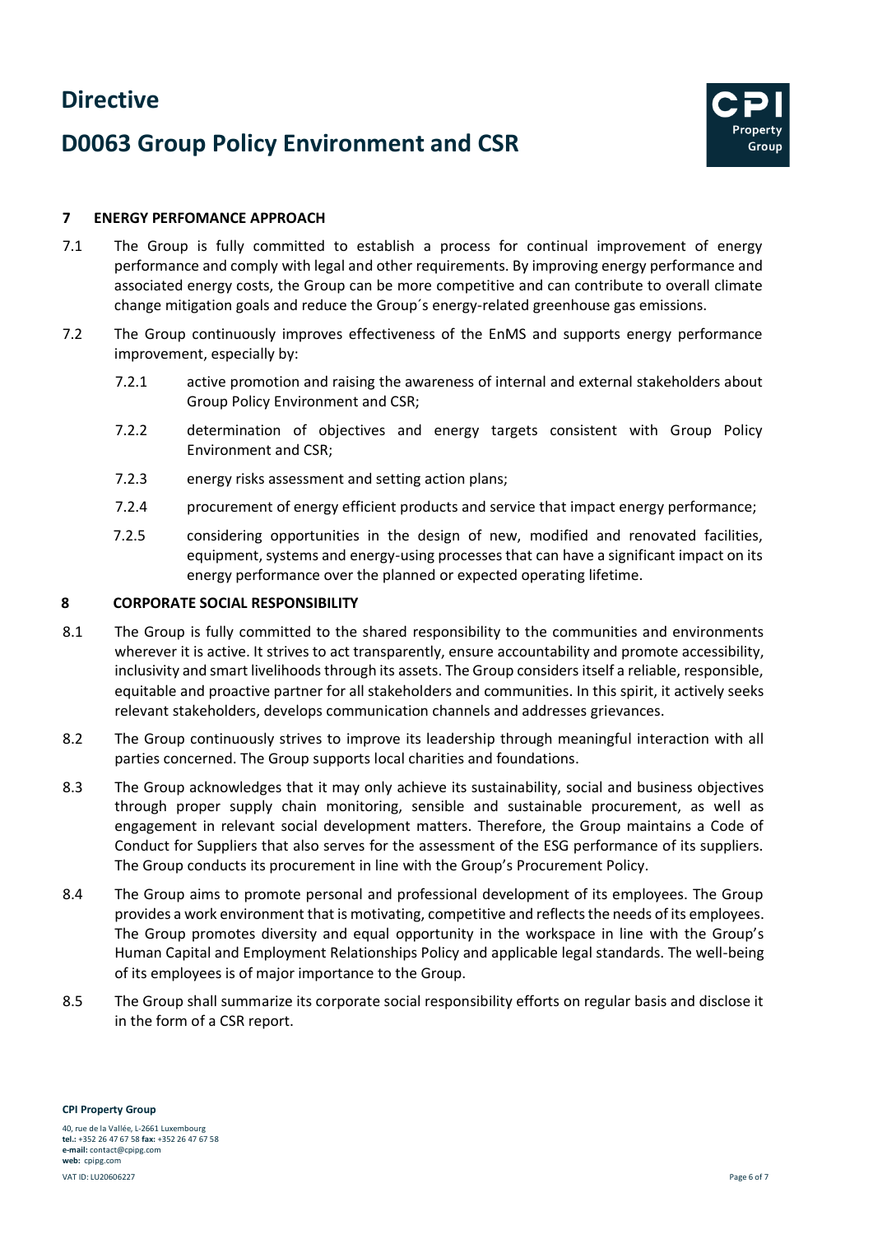## **D0063 Group Policy Environment and CSR**



#### **7 ENERGY PERFOMANCE APPROACH**

- 7.1 The Group is fully committed to establish a process for continual improvement of energy performance and comply with legal and other requirements. By improving energy performance and associated energy costs, the Group can be more competitive and can contribute to overall climate change mitigation goals and reduce the Group´s energy-related greenhouse gas emissions.
- 7.2 The Group continuously improves effectiveness of the EnMS and supports energy performance improvement, especially by:
	- 7.2.1 active promotion and raising the awareness of internal and external stakeholders about Group Policy Environment and CSR;
	- 7.2.2 determination of objectives and energy targets consistent with Group Policy Environment and CSR;
	- 7.2.3 energy risks assessment and setting action plans;
	- 7.2.4 procurement of energy efficient products and service that impact energy performance;
	- 7.2.5 considering opportunities in the design of new, modified and renovated facilities, equipment, systems and energy-using processes that can have a significant impact on its energy performance over the planned or expected operating lifetime.

#### <span id="page-5-0"></span>**8 CORPORATE SOCIAL RESPONSIBILITY**

- 8.1 The Group is fully committed to the shared responsibility to the communities and environments wherever it is active. It strives to act transparently, ensure accountability and promote accessibility, inclusivity and smart livelihoods through its assets. The Group considers itself a reliable, responsible, equitable and proactive partner for all stakeholders and communities. In this spirit, it actively seeks relevant stakeholders, develops communication channels and addresses grievances.
- 8.2 The Group continuously strives to improve its leadership through meaningful interaction with all parties concerned. The Group supports local charities and foundations.
- 8.3 The Group acknowledges that it may only achieve its sustainability, social and business objectives through proper supply chain monitoring, sensible and sustainable procurement, as well as engagement in relevant social development matters. Therefore, the Group maintains a Code of Conduct for Suppliers that also serves for the assessment of the ESG performance of its suppliers. The Group conducts its procurement in line with the Group's Procurement Policy.
- 8.4 The Group aims to promote personal and professional development of its employees. The Group provides a work environment that is motivating, competitive and reflects the needs of its employees. The Group promotes diversity and equal opportunity in the workspace in line with the Group's Human Capital and Employment Relationships Policy and applicable legal standards. The well-being of its employees is of major importance to the Group.
- 8.5 The Group shall summarize its corporate social responsibility efforts on regular basis and disclose it in the form of a CSR report.